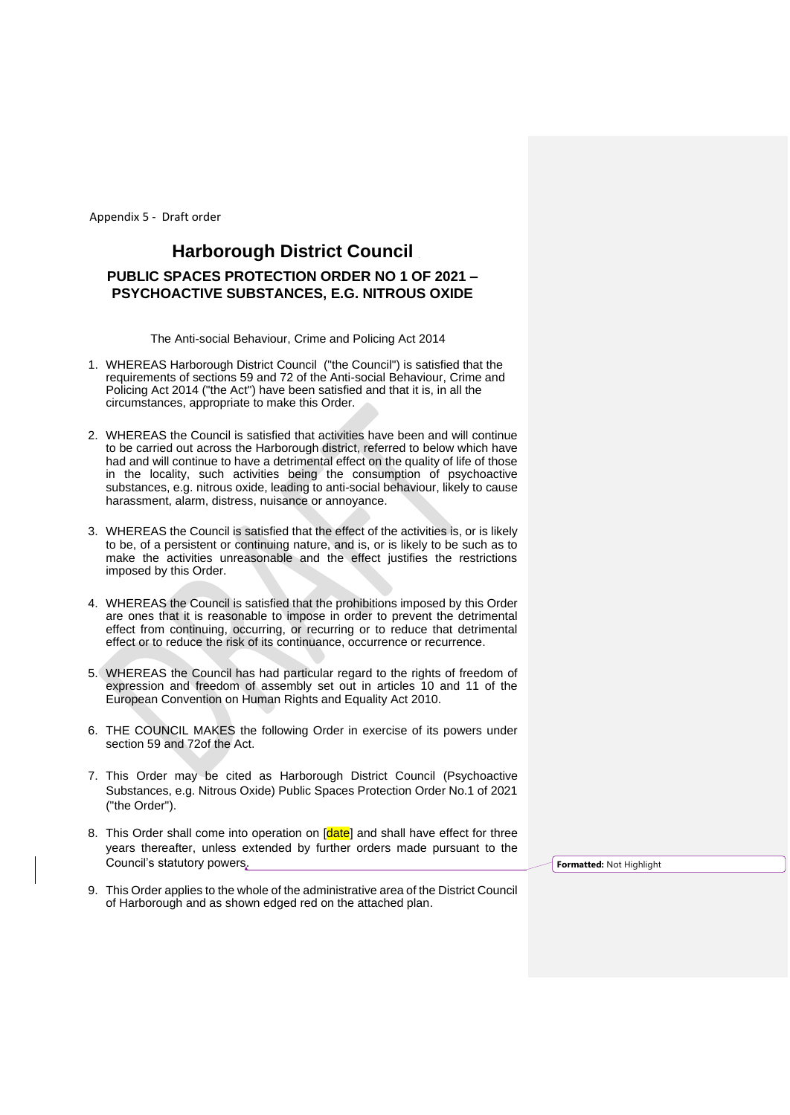# **Harborough District Council PUBLIC SPACES PROTECTION ORDER NO 1 OF 2021 – PSYCHOACTIVE SUBSTANCES, E.G. NITROUS OXIDE**

The Anti-social Behaviour, Crime and Policing Act 2014

- 1. WHEREAS Harborough District Council ("the Council") is satisfied that the requirements of sections 59 and 72 of the Anti-social Behaviour, Crime and Policing Act 2014 ("the Act") have been satisfied and that it is, in all the circumstances, appropriate to make this Order.
- 2. WHEREAS the Council is satisfied that activities have been and will continue to be carried out across the Harborough district, referred to below which have had and will continue to have a detrimental effect on the quality of life of those in the locality, such activities being the consumption of psychoactive substances, e.g. nitrous oxide, leading to anti-social behaviour, likely to cause harassment, alarm, distress, nuisance or annoyance.
- 3. WHEREAS the Council is satisfied that the effect of the activities is, or is likely to be, of a persistent or continuing nature, and is, or is likely to be such as to make the activities unreasonable and the effect justifies the restrictions imposed by this Order.
- 4. WHEREAS the Council is satisfied that the prohibitions imposed by this Order are ones that it is reasonable to impose in order to prevent the detrimental effect from continuing, occurring, or recurring or to reduce that detrimental effect or to reduce the risk of its continuance, occurrence or recurrence.
- 5. WHEREAS the Council has had particular regard to the rights of freedom of expression and freedom of assembly set out in articles 10 and 11 of the European Convention on Human Rights and Equality Act 2010.
- 6. THE COUNCIL MAKES the following Order in exercise of its powers under section 59 and 72of the Act.
- 7. This Order may be cited as Harborough District Council (Psychoactive Substances, e.g. Nitrous Oxide) Public Spaces Protection Order No.1 of 2021 ("the Order").
- 8. This Order shall come into operation on [date] and shall have effect for three years thereafter, unless extended by further orders made pursuant to the Council's statutory powers.
- 9. This Order applies to the whole of the administrative area of the District Council of Harborough and as shown edged red on the attached plan.

**Formatted:** Not Highlight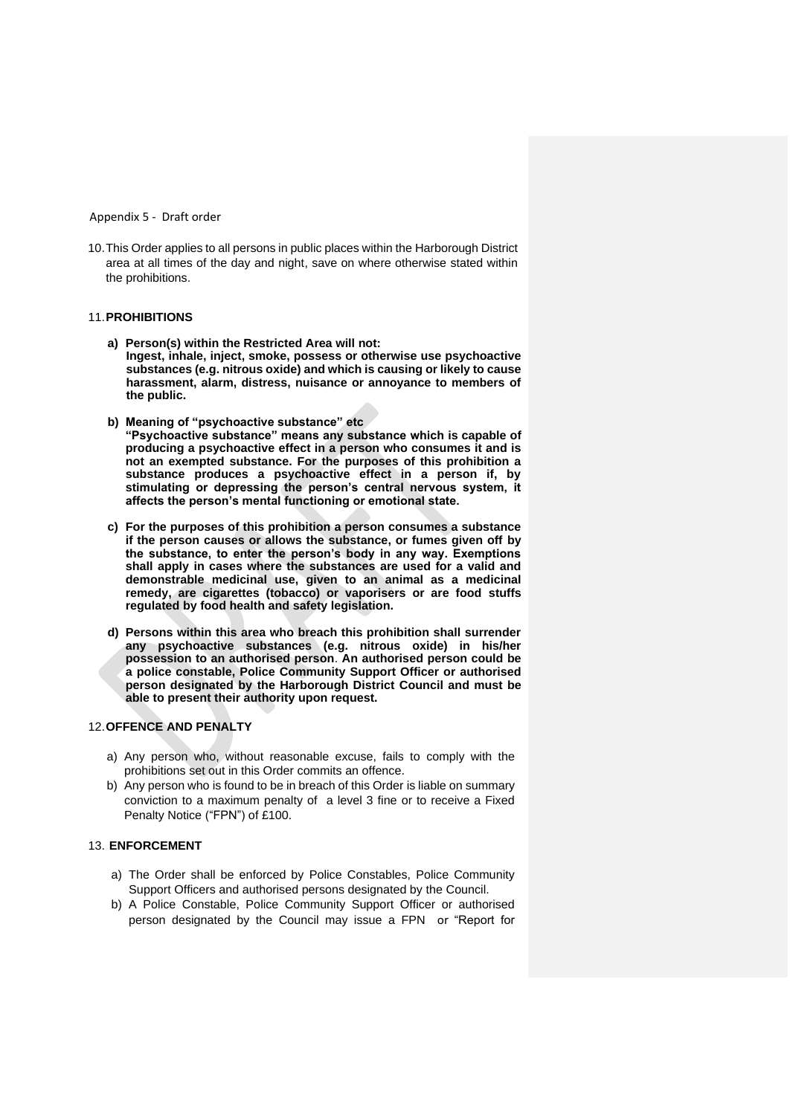10.This Order applies to all persons in public places within the Harborough District area at all times of the day and night, save on where otherwise stated within the prohibitions.

#### 11.**PROHIBITIONS**

- **a) Person(s) within the Restricted Area will not: Ingest, inhale, inject, smoke, possess or otherwise use psychoactive substances (e.g. nitrous oxide) and which is causing or likely to cause harassment, alarm, distress, nuisance or annoyance to members of the public.**
- **b) Meaning of "psychoactive substance" etc "Psychoactive substance" means any substance which is capable of producing a psychoactive effect in a person who consumes it and is not an exempted substance. For the purposes of this prohibition a substance produces a psychoactive effect in a person if, by stimulating or depressing the person's central nervous system, it affects the person's mental functioning or emotional state.**
- **c) For the purposes of this prohibition a person consumes a substance if the person causes or allows the substance, or fumes given off by the substance, to enter the person's body in any way. Exemptions shall apply in cases where the substances are used for a valid and demonstrable medicinal use, given to an animal as a medicinal remedy, are cigarettes (tobacco) or vaporisers or are food stuffs regulated by food health and safety legislation.**
- **d) Persons within this area who breach this prohibition shall surrender any psychoactive substances (e.g. nitrous oxide) in his/her possession to an authorised person**. **An authorised person could be a police constable, Police Community Support Officer or authorised person designated by the Harborough District Council and must be able to present their authority upon request.**

### 12.**OFFENCE AND PENALTY**

- a) Any person who, without reasonable excuse, fails to comply with the prohibitions set out in this Order commits an offence.
- b) Any person who is found to be in breach of this Order is liable on summary conviction to a maximum penalty of a level 3 fine or to receive a Fixed Penalty Notice ("FPN") of £100.

#### 13. **ENFORCEMENT**

- a) The Order shall be enforced by Police Constables, Police Community Support Officers and authorised persons designated by the Council.
- b) A Police Constable, Police Community Support Officer or authorised person designated by the Council may issue a FPN or "Report for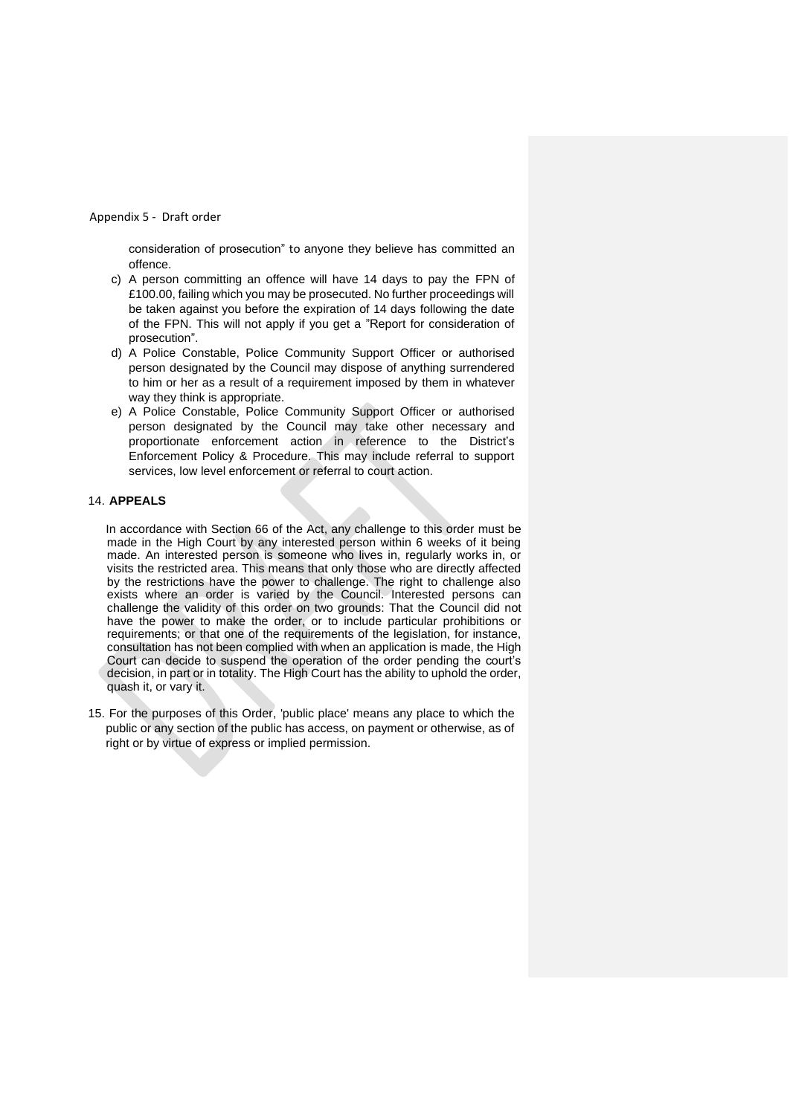consideration of prosecution" to anyone they believe has committed an offence.

- c) A person committing an offence will have 14 days to pay the FPN of £100.00, failing which you may be prosecuted. No further proceedings will be taken against you before the expiration of 14 days following the date of the FPN. This will not apply if you get a "Report for consideration of prosecution".
- d) A Police Constable, Police Community Support Officer or authorised person designated by the Council may dispose of anything surrendered to him or her as a result of a requirement imposed by them in whatever way they think is appropriate.
- e) A Police Constable, Police Community Support Officer or authorised person designated by the Council may take other necessary and proportionate enforcement action in reference to the District's Enforcement Policy & Procedure. This may include referral to support services, low level enforcement or referral to court action.

#### 14. **APPEALS**

In accordance with Section 66 of the Act, any challenge to this order must be made in the High Court by any interested person within 6 weeks of it being made. An interested person is someone who lives in, regularly works in, or visits the restricted area. This means that only those who are directly affected by the restrictions have the power to challenge. The right to challenge also exists where an order is varied by the Council. Interested persons can challenge the validity of this order on two grounds: That the Council did not have the power to make the order, or to include particular prohibitions or requirements; or that one of the requirements of the legislation, for instance, consultation has not been complied with when an application is made, the High Court can decide to suspend the operation of the order pending the court's decision, in part or in totality. The High Court has the ability to uphold the order, quash it, or vary it.

15. For the purposes of this Order, 'public place' means any place to which the public or any section of the public has access, on payment or otherwise, as of right or by virtue of express or implied permission.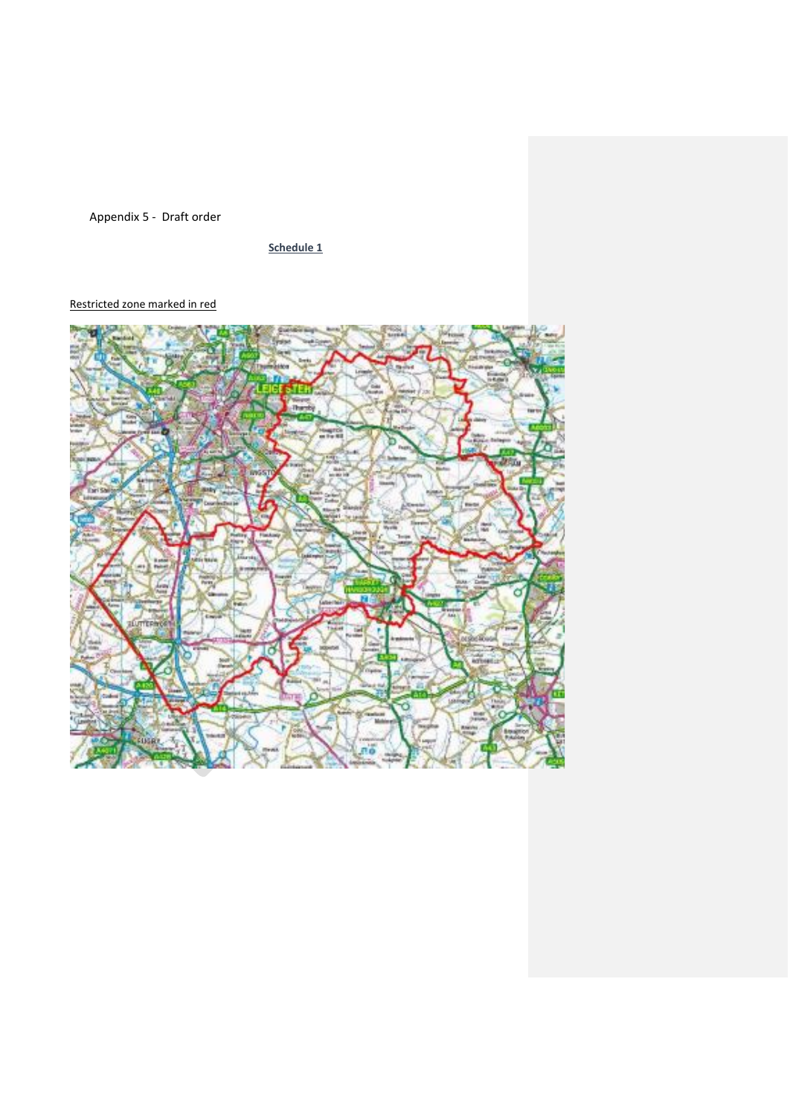**Schedule 1**

### Restricted zone marked in red